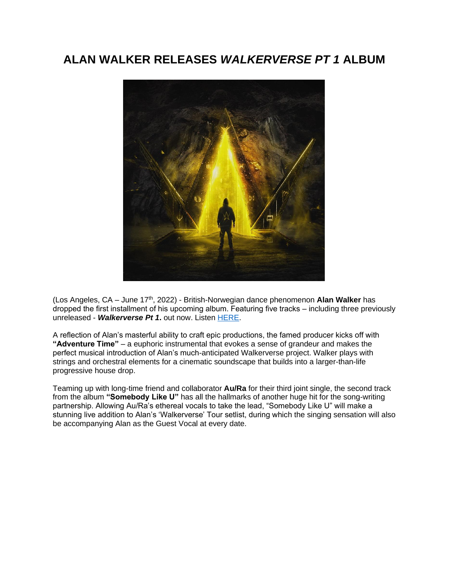## **ALAN WALKER RELEASES** *WALKERVERSE PT 1* **ALBUM**



(Los Angeles, CA – June 17th, 2022) - British-Norwegian dance phenomenon **Alan Walker** has dropped the first installment of his upcoming album. Featuring five tracks – including three previously unreleased - *Walkerverse Pt 1***.** out now. Liste[n HERE.](https://eur01.safelinks.protection.outlook.com/?url=https%3A%2F%2Falanwalker.lnk.to%2FWalkerverse_Pt1&data=05%7C01%7Cnoelle.janasiewicz.sme%40sonymusic.com%7C5553791ed43543c1a1cd08da507ded8f%7Cf0aff3b791a54aaeaf71c63e1dda2049%7C0%7C0%7C637910799021985690%7CUnknown%7CTWFpbGZsb3d8eyJWIjoiMC4wLjAwMDAiLCJQIjoiV2luMzIiLCJBTiI6Ik1haWwiLCJXVCI6Mn0%3D%7C3000%7C%7C%7C&sdata=TMwwqPzjQUD3q%2BeWA3P55cYGOGvEDuz%2FrejEH7Ucwh4%3D&reserved=0)

A reflection of Alan's masterful ability to craft epic productions, the famed producer kicks off with **"Adventure Time"** – a euphoric instrumental that evokes a sense of grandeur and makes the perfect musical introduction of Alan's much-anticipated Walkerverse project. Walker plays with strings and orchestral elements for a cinematic soundscape that builds into a larger-than-life progressive house drop.

Teaming up with long-time friend and collaborator **Au/Ra** for their third joint single, the second track from the album **"Somebody Like U"** has all the hallmarks of another huge hit for the song-writing partnership. Allowing Au/Ra's ethereal vocals to take the lead, "Somebody Like U" will make a stunning live addition to Alan's 'Walkerverse' Tour setlist, during which the singing sensation will also be accompanying Alan as the Guest Vocal at every date.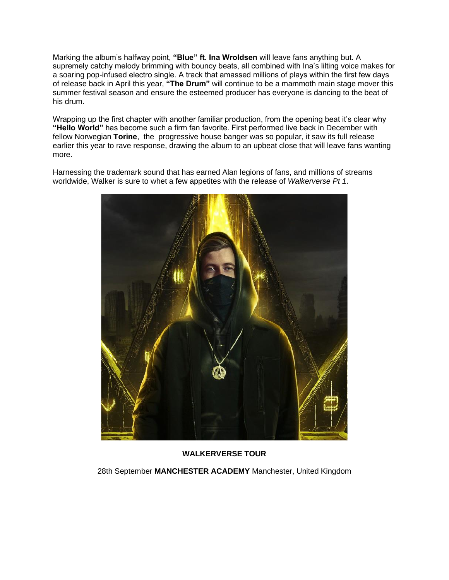Marking the album's halfway point, **"Blue" ft. Ina Wroldsen** will leave fans anything but. A supremely catchy melody brimming with bouncy beats, all combined with Ina's lilting voice makes for a soaring pop-infused electro single. A track that amassed millions of plays within the first few days of release back in April this year, **"The Drum"** will continue to be a mammoth main stage mover this summer festival season and ensure the esteemed producer has everyone is dancing to the beat of his drum.

Wrapping up the first chapter with another familiar production, from the opening beat it's clear why **"Hello World"** has become such a firm fan favorite. First performed live back in December with fellow Norwegian **Torine**, the progressive house banger was so popular, it saw its full release earlier this year to rave response, drawing the album to an upbeat close that will leave fans wanting more.

Harnessing the trademark sound that has earned Alan legions of fans, and millions of streams worldwide, Walker is sure to whet a few appetites with the release of *Walkerverse Pt 1*.



**WALKERVERSE TOUR**

28th September **MANCHESTER ACADEMY** Manchester, United Kingdom